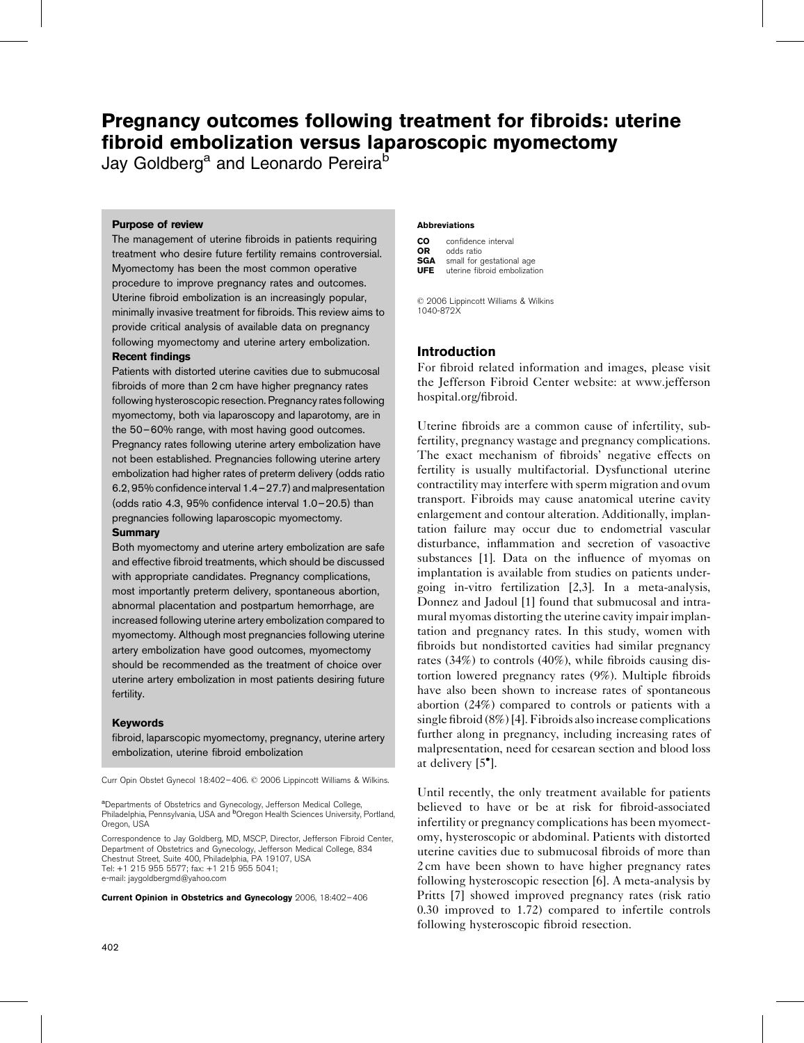# Pregnancy outcomes following treatment for fibroids: uterine fibroid embolization versus laparoscopic myomectomy

Jay Goldberg<sup>a</sup> and Leonardo Pereira<sup>b</sup>

## Purpose of review

The management of uterine fibroids in patients requiring treatment who desire future fertility remains controversial. Myomectomy has been the most common operative procedure to improve pregnancy rates and outcomes. Uterine fibroid embolization is an increasingly popular, minimally invasive treatment for fibroids. This review aims to provide critical analysis of available data on pregnancy following myomectomy and uterine artery embolization.

## Recent findings

Patients with distorted uterine cavities due to submucosal fibroids of more than 2 cm have higher pregnancy rates following hysteroscopic resection. Pregnancy rates following myomectomy, both via laparoscopy and laparotomy, are in the 50–60% range, with most having good outcomes. Pregnancy rates following uterine artery embolization have not been established. Pregnancies following uterine artery embolization had higher rates of preterm delivery (odds ratio 6.2, 95% confidence interval 1.4–27.7) and malpresentation (odds ratio 4.3, 95% confidence interval 1.0–20.5) than pregnancies following laparoscopic myomectomy.

## **Summary**

Both myomectomy and uterine artery embolization are safe and effective fibroid treatments, which should be discussed with appropriate candidates. Pregnancy complications, most importantly preterm delivery, spontaneous abortion, abnormal placentation and postpartum hemorrhage, are increased following uterine artery embolization compared to myomectomy. Although most pregnancies following uterine artery embolization have good outcomes, myomectomy should be recommended as the treatment of choice over uterine artery embolization in most patients desiring future fertility.

## Keywords

fibroid, laparscopic myomectomy, pregnancy, uterine artery embolization, uterine fibroid embolization

Curr Opin Obstet Gynecol 18:402-406. © 2006 Lippincott Williams & Wilkins.

<sup>a</sup>Departments of Obstetrics and Gynecology, Jefferson Medical College,<br>Philadelphia, Pennsylvania, USA and <sup>b</sup>Oregon Health Sciences University, Portland, Oregon, USA

Correspondence to Jay Goldberg, MD, MSCP, Director, Jefferson Fibroid Center, Department of Obstetrics and Gynecology, Jefferson Medical College, 834 Chestnut Street, Suite 400, Philadelphia, PA 19107, USA Tel: +1 215 955 5577; fax: +1 215 955 5041;

e-mail: [jaygoldbergmd@yahoo.com](mailto:jaygoldbergmd@yahoo.com)

Current Opinion in Obstetrics and Gynecology 2006, 18:402–406

#### Abbreviations

| CO          | confidence interval                                       |
|-------------|-----------------------------------------------------------|
| OR          | odds ratio                                                |
| SGA<br>UFE. | small for gestational age<br>uterine fibroid embolization |

 2006 Lippincott Williams & Wilkins 1040-872X

## Introduction

For fibroid related information and images, please visit the Jefferson Fibroid Center website: at [www.jefferson](http://www.jeffersonhospital.org/fibroid) [hospital.org/fibroid](http://www.jeffersonhospital.org/fibroid).

Uterine fibroids are a common cause of infertility, subfertility, pregnancy wastage and pregnancy complications. The exact mechanism of fibroids' negative effects on fertility is usually multifactorial. Dysfunctional uterine contractility may interfere with sperm migration and ovum transport. Fibroids may cause anatomical uterine cavity enlargement and contour alteration. Additionally, implantation failure may occur due to endometrial vascular disturbance, inflammation and secretion of vasoactive substances [\[1\].](#page-3-0) Data on the influence of myomas on implantation is available from studies on patients undergoing in-vitro fertilization [\[2,3\]](#page-3-0). In a meta-analysis, Donnez and Jadoul [\[1\]](#page-3-0) found that submucosal and intramural myomas distorting the uterine cavity impair implantation and pregnancy rates. In this study, women with fibroids but nondistorted cavities had similar pregnancy rates (34%) to controls (40%), while fibroids causing distortion lowered pregnancy rates (9%). Multiple fibroids have also been shown to increase rates of spontaneous abortion (24%) compared to controls or patients with a single fibroid (8%) [\[4\].](#page-3-0) Fibroids also increase complications further along in pregnancy, including increasing rates of malpresentation, need for cesarean section and blood loss at delivery [\[5](#page-3-0) [\].](#page-3-0)

Until recently, the only treatment available for patients believed to have or be at risk for fibroid-associated infertility or pregnancy complications has been myomectomy, hysteroscopic or abdominal. Patients with distorted uterine cavities due to submucosal fibroids of more than 2 cm have been shown to have higher pregnancy rates following hysteroscopic resection [\[6\]](#page-3-0). A meta-analysis by Pritts [\[7\]](#page-3-0) showed improved pregnancy rates (risk ratio 0.30 improved to 1.72) compared to infertile controls following hysteroscopic fibroid resection.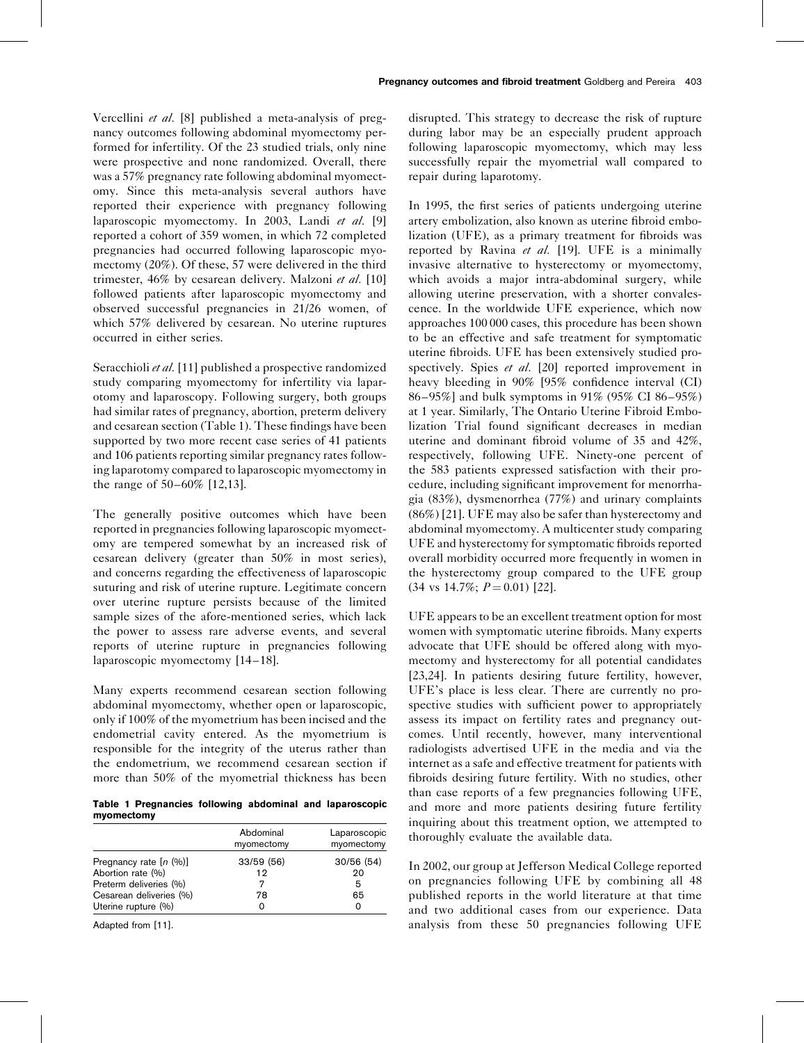Vercellini et al. [\[8\]](#page-3-0) published a meta-analysis of pregnancy outcomes following abdominal myomectomy performed for infertility. Of the 23 studied trials, only nine were prospective and none randomized. Overall, there was a 57% pregnancy rate following abdominal myomectomy. Since this meta-analysis several authors have reported their experience with pregnancy following laparoscopic myomectomy. In 2003, Landi et al. [\[9\]](#page-3-0) reported a cohort of 359 women, in which 72 completed pregnancies had occurred following laparoscopic myomectomy (20%). Of these, 57 were delivered in the third trimester, 46% by cesarean delivery. Malzoni et al. [\[10\]](#page-3-0) followed patients after laparoscopic myomectomy and observed successful pregnancies in 21/26 women, of which 57% delivered by cesarean. No uterine ruptures occurred in either series.

Seracchioli et al. [\[11\]](#page-3-0) published a prospective randomized study comparing myomectomy for infertility via laparotomy and laparoscopy. Following surgery, both groups had similar rates of pregnancy, abortion, preterm delivery and cesarean section (Table 1). These findings have been supported by two more recent case series of 41 patients and 106 patients reporting similar pregnancy rates following laparotomy compared to laparoscopic myomectomy in the range of 50–60% [\[12,13\].](#page-3-0)

The generally positive outcomes which have been reported in pregnancies following laparoscopic myomectomy are tempered somewhat by an increased risk of cesarean delivery (greater than 50% in most series), and concerns regarding the effectiveness of laparoscopic suturing and risk of uterine rupture. Legitimate concern over uterine rupture persists because of the limited sample sizes of the afore-mentioned series, which lack the power to assess rare adverse events, and several reports of uterine rupture in pregnancies following laparoscopic myomectomy [\[14–18\]](#page-3-0).

Many experts recommend cesarean section following abdominal myomectomy, whether open or laparoscopic, only if 100% of the myometrium has been incised and the endometrial cavity entered. As the myometrium is responsible for the integrity of the uterus rather than the endometrium, we recommend cesarean section if more than 50% of the myometrial thickness has been

Table 1 Pregnancies following abdominal and laparoscopic myomectomy

|                          | Abdominal<br>myomectomy | Laparoscopic<br>myomectomy |
|--------------------------|-------------------------|----------------------------|
| Pregnancy rate $[n (%)]$ | 33/59 (56)              | 30/56(54)                  |
| Abortion rate (%)        | 19                      | 20                         |
| Preterm deliveries (%)   |                         | 5                          |
| Cesarean deliveries (%)  | 78                      | 65                         |
| Uterine rupture (%)      |                         |                            |

Adapted from [\[11\]](#page-3-0).

disrupted. This strategy to decrease the risk of rupture during labor may be an especially prudent approach following laparoscopic myomectomy, which may less successfully repair the myometrial wall compared to repair during laparotomy.

In 1995, the first series of patients undergoing uterine artery embolization, also known as uterine fibroid embolization (UFE), as a primary treatment for fibroids was reported by Ravina et al. [\[19\].](#page-3-0) UFE is a minimally invasive alternative to hysterectomy or myomectomy, which avoids a major intra-abdominal surgery, while allowing uterine preservation, with a shorter convalescence. In the worldwide UFE experience, which now approaches 100 000 cases, this procedure has been shown to be an effective and safe treatment for symptomatic uterine fibroids. UFE has been extensively studied prospectively. Spies *et al.* [\[20\]](#page-3-0) reported improvement in heavy bleeding in 90% [95% confidence interval (CI) 86–95%] and bulk symptoms in 91% (95% CI 86–95%) at 1 year. Similarly, The Ontario Uterine Fibroid Embolization Trial found significant decreases in median uterine and dominant fibroid volume of 35 and 42%, respectively, following UFE. Ninety-one percent of the 583 patients expressed satisfaction with their procedure, including significant improvement for menorrhagia (83%), dysmenorrhea (77%) and urinary complaints (86%) [\[21\]](#page-3-0). UFE may also be safer than hysterectomy and abdominal myomectomy. A multicenter study comparing UFE and hysterectomy for symptomatic fibroids reported overall morbidity occurred more frequently in women in the hysterectomy group compared to the UFE group  $(34 \text{ vs } 14.7\%; P=0.01)$  [\[22\]](#page-3-0).

UFE appears to be an excellent treatment option for most women with symptomatic uterine fibroids. Many experts advocate that UFE should be offered along with myomectomy and hysterectomy for all potential candidates [\[23,24\].](#page-3-0) In patients desiring future fertility, however, UFE's place is less clear. There are currently no prospective studies with sufficient power to appropriately assess its impact on fertility rates and pregnancy outcomes. Until recently, however, many interventional radiologists advertised UFE in the media and via the internet as a safe and effective treatment for patients with fibroids desiring future fertility. With no studies, other than case reports of a few pregnancies following UFE, and more and more patients desiring future fertility inquiring about this treatment option, we attempted to thoroughly evaluate the available data.

In 2002, our group at Jefferson Medical College reported on pregnancies following UFE by combining all 48 published reports in the world literature at that time and two additional cases from our experience. Data analysis from these 50 pregnancies following UFE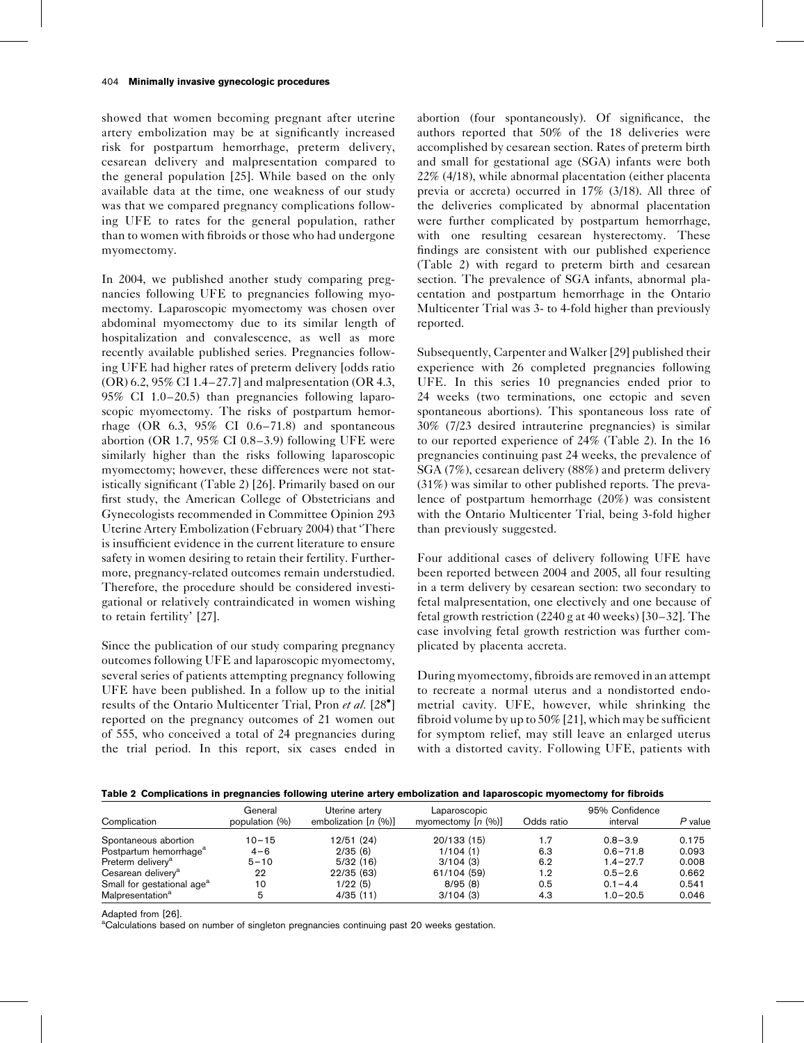showed that women becoming pregnant after uterine artery embolization may be at significantly increased risk for postpartum hemorrhage, preterm delivery, cesarean delivery and malpresentation compared to the general population [\[25\]](#page-3-0). While based on the only available data at the time, one weakness of our study was that we compared pregnancy complications following UFE to rates for the general population, rather than to women with fibroids or those who had undergone myomectomy.

In 2004, we published another study comparing pregnancies following UFE to pregnancies following myomectomy. Laparoscopic myomectomy was chosen over abdominal myomectomy due to its similar length of hospitalization and convalescence, as well as more recently available published series. Pregnancies following UFE had higher rates of preterm delivery [odds ratio (OR) 6.2, 95% CI 1.4–27.7] and malpresentation (OR 4.3, 95% CI 1.0–20.5) than pregnancies following laparoscopic myomectomy. The risks of postpartum hemorrhage (OR 6.3, 95% CI 0.6–71.8) and spontaneous abortion (OR 1.7, 95% CI 0.8–3.9) following UFE were similarly higher than the risks following laparoscopic myomectomy; however, these differences were not statistically significant (Table 2) [\[26\]](#page-3-0). Primarily based on our first study, the American College of Obstetricians and Gynecologists recommended in Committee Opinion 293 Uterine Artery Embolization (February 2004) that 'There is insufficient evidence in the current literature to ensure safety in women desiring to retain their fertility. Furthermore, pregnancy-related outcomes remain understudied. Therefore, the procedure should be considered investigational or relatively contraindicated in women wishing to retain fertility' [\[27\].](#page-3-0)

Since the publication of our study comparing pregnancy outcomes following UFE and laparoscopic myomectomy, several series of patients attempting pregnancy following UFE have been published. In a follow up to the initial results of the Ontario Multicenter Trial, Pron et al. [\[28](#page-4-0)<sup>°</sup>[\]](#page-4-0) reported on the pregnancy outcomes of 21 women out of 555, who conceived a total of 24 pregnancies during the trial period. In this report, six cases ended in

abortion (four spontaneously). Of significance, the authors reported that 50% of the 18 deliveries were accomplished by cesarean section. Rates of preterm birth and small for gestational age (SGA) infants were both 22% (4/18), while abnormal placentation (either placenta previa or accreta) occurred in 17% (3/18). All three of the deliveries complicated by abnormal placentation were further complicated by postpartum hemorrhage, with one resulting cesarean hysterectomy. These findings are consistent with our published experience (Table 2) with regard to preterm birth and cesarean section. The prevalence of SGA infants, abnormal placentation and postpartum hemorrhage in the Ontario Multicenter Trial was 3- to 4-fold higher than previously reported.

Subsequently, Carpenter and Walker [\[29\]](#page-4-0) published their experience with 26 completed pregnancies following UFE. In this series 10 pregnancies ended prior to 24 weeks (two terminations, one ectopic and seven spontaneous abortions). This spontaneous loss rate of 30% (7/23 desired intrauterine pregnancies) is similar to our reported experience of 24% (Table 2). In the 16 pregnancies continuing past 24 weeks, the prevalence of SGA (7%), cesarean delivery (88%) and preterm delivery (31%) was similar to other published reports. The prevalence of postpartum hemorrhage (20%) was consistent with the Ontario Multicenter Trial, being 3-fold higher than previously suggested.

Four additional cases of delivery following UFE have been reported between 2004 and 2005, all four resulting in a term delivery by cesarean section: two secondary to fetal malpresentation, one electively and one because of fetal growth restriction (2240 g at 40 weeks) [\[30–32\]](#page-4-0). The case involving fetal growth restriction was further complicated by placenta accreta.

During myomectomy, fibroids are removed in an attempt to recreate a normal uterus and a nondistorted endometrial cavity. UFE, however, while shrinking the fibroid volume by up to 50% [\[21\]](#page-3-0), which may be sufficient for symptom relief, may still leave an enlarged uterus with a distorted cavity. Following UFE, patients with

### Table 2 Complications in pregnancies following uterine artery embolization and laparoscopic myomectomy for fibroids

| Complication                           | General<br>population (%) | Uterine artery<br>embolization $[n (%)]$ | Laparoscopic<br>myomectomy $[n (%)]$ | Odds ratio | 95% Confidence<br>interval | P value |
|----------------------------------------|---------------------------|------------------------------------------|--------------------------------------|------------|----------------------------|---------|
| Spontaneous abortion                   | $10 - 15$                 | 12/51 (24)                               | 20/133(15)                           | 1.7        | $0.8 - 3.9$                | 0.175   |
| Postpartum hemorrhage <sup>a</sup>     | $4 - 6$                   | 2/35(6)                                  | 1/104(1)                             | 6.3        | $0.6 - 71.8$               | 0.093   |
| Preterm delivery <sup>a</sup>          | $5 - 10$                  | 5/32(16)                                 | 3/104(3)                             | 6.2        | $1.4 - 27.7$               | 0.008   |
| Cesarean delivery <sup>a</sup>         | 22                        | 22/35(63)                                | 61/104 (59)                          | 1.2        | $0.5 - 2.6$                | 0.662   |
| Small for gestational age <sup>a</sup> | 10                        | 1/22(5)                                  | 8/95(8)                              | 0.5        | $0.1 - 4.4$                | 0.541   |
| Malpresentation <sup>a</sup>           |                           | 4/35(11)                                 | 3/104(3)                             | 4.3        | $1.0 - 20.5$               | 0.046   |

Adapted from [\[26\]](#page-3-0).

<sup>a</sup>Calculations based on number of singleton pregnancies continuing past 20 weeks gestation.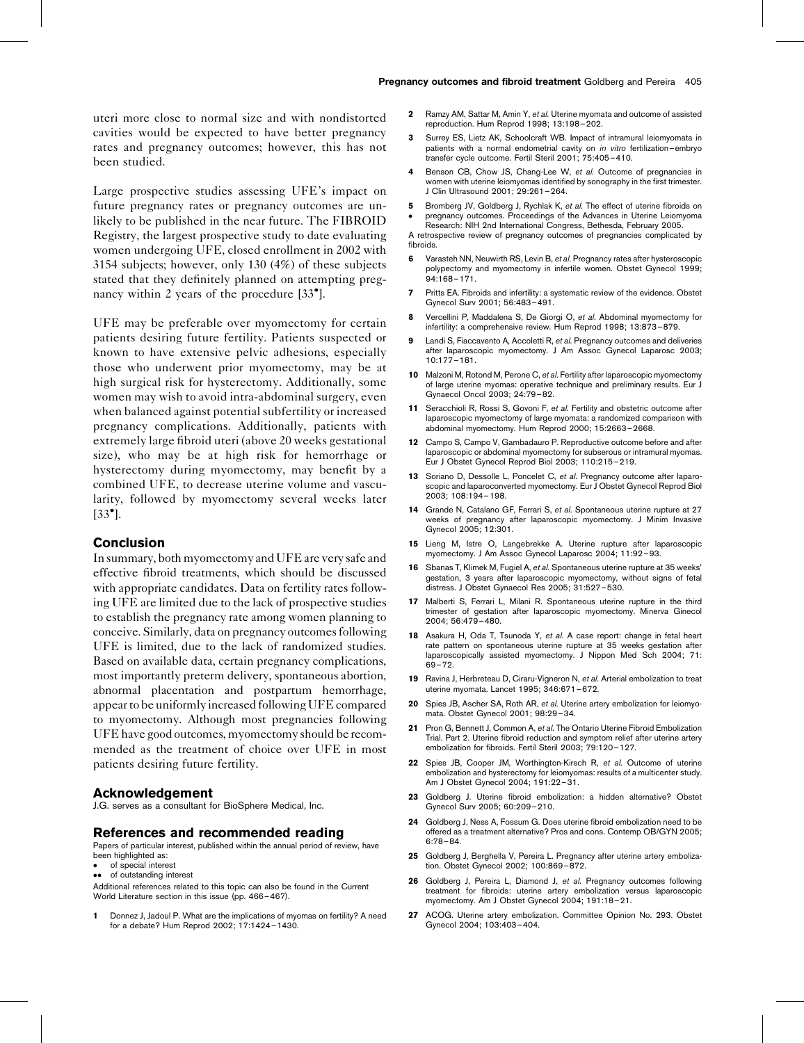<span id="page-3-0"></span>uteri more close to normal size and with nondistorted cavities would be expected to have better pregnancy rates and pregnancy outcomes; however, this has not been studied.

Large prospective studies assessing UFE's impact on future pregnancy rates or pregnancy outcomes are unlikely to be published in the near future. The FIBROID Registry, the largest prospective study to date evaluating women undergoing UFE, closed enrollment in 2002 with 3154 subjects; however, only 130 (4%) of these subjects stated that they definitely planned on attempting preg-nancy within 2 years of the procedure [\[33](#page-4-0)<sup>°</sup>[\].](#page-4-0)

UFE may be preferable over myomectomy for certain patients desiring future fertility. Patients suspected or known to have extensive pelvic adhesions, especially those who underwent prior myomectomy, may be at high surgical risk for hysterectomy. Additionally, some women may wish to avoid intra-abdominal surgery, even when balanced against potential subfertility or increased pregnancy complications. Additionally, patients with extremely large fibroid uteri (above 20 weeks gestational size), who may be at high risk for hemorrhage or hysterectomy during myomectomy, may benefit by a combined UFE, to decrease uterine volume and vascularity, followed by myomectomy several weeks later  $[33^{\bullet}].$  $[33^{\bullet}].$  $[33^{\bullet}].$ 

## Conclusion

In summary, both myomectomy and UFE are very safe and effective fibroid treatments, which should be discussed with appropriate candidates. Data on fertility rates following UFE are limited due to the lack of prospective studies to establish the pregnancy rate among women planning to conceive. Similarly, data on pregnancy outcomes following UFE is limited, due to the lack of randomized studies. Based on available data, certain pregnancy complications, most importantly preterm delivery, spontaneous abortion, abnormal placentation and postpartum hemorrhage, appear to be uniformlyincreased following UFE compared to myomectomy. Although most pregnancies following UFE have good outcomes, myomectomy should be recommended as the treatment of choice over UFE in most patients desiring future fertility.

### Acknowledgement

J.G. serves as a consultant for BioSphere Medical, Inc.

#### References and recommended reading

Papers of particular interest, published within the annual period of review, have been highlighted as:

- of special interest
- •• of outstanding interest

Additional references related to this topic can also be found in the Current World Literature section in this issue (pp. 466–467).

1 Donnez J, Jadoul P. What are the implications of myomas on fertility? A need for a debate? Hum Reprod 2002; 17:1424–1430.

- 2 Ramzy AM, Sattar M, Amin Y, et al. Uterine myomata and outcome of assisted reproduction. Hum Reprod 1998; 13:198–202.
- 3 Surrey ES, Lietz AK, Schoolcraft WB. Impact of intramural leiomyomata in patients with a normal endometrial cavity on in vitro fertilization–embryo transfer cycle outcome. Fertil Steril 2001; 75:405–410.
- 4 Benson CB, Chow JS, Chang-Lee W, et al. Outcome of pregnancies in women with uterine leiomyomas identified by sonography in the first trimester. J Clin Ultrasound 2001; 29:261–264.
- 5 Bromberg JV, Goldberg J, Rychlak K, et al. The effect of uterine fibroids on pregnancy outcomes. Proceedings of the Advances in Uterine Leiomyoma
- $\bullet$ Research: NIH 2nd International Congress, Bethesda, February 2005.

A retrospective review of pregnancy outcomes of pregnancies complicated by fibroids.

- 6 Varasteh NN, Neuwirth RS, Levin B, et al. Pregnancy rates after hysteroscopic polypectomy and myomectomy in infertile women. Obstet Gynecol 1999; 94:168–171.
- 7 Pritts EA. Fibroids and infertility: a systematic review of the evidence. Obstet Gynecol Surv 2001; 56:483–491.
- Vercellini P, Maddalena S, De Giorgi O, et al. Abdominal myomectomy for infertility: a comprehensive review. Hum Reprod 1998; 13:873–879.
- 9 Landi S, Fiaccavento A, Accoletti R, et al. Pregnancy outcomes and deliveries after laparoscopic myomectomy. J Am Assoc Gynecol Laparosc 2003; 10:177–181.
- 10 Malzoni M, Rotond M, Perone C, et al. Fertility after laparoscopic myomectomy of large uterine myomas: operative technique and preliminary results. Eur J Gynaecol Oncol 2003; 24:79–82.
- 11 Seracchioli R, Rossi S, Govoni F, et al. Fertility and obstetric outcome after laparoscopic myomectomy of large myomata: a randomized comparison with abdominal myomectomy. Hum Reprod 2000; 15:2663–2668.
- 12 Campo S, Campo V, Gambadauro P. Reproductive outcome before and after laparoscopic or abdominal myomectomy for subserous or intramural myomas. Eur J Obstet Gynecol Reprod Biol 2003; 110:215–219.
- 13 Soriano D, Dessolle L, Poncelet C, et al. Pregnancy outcome after laparoscopic and laparoconverted myomectomy. Eur J Obstet Gynecol Reprod Biol 2003; 108:194–198.
- 14 Grande N, Catalano GF, Ferrari S, et al. Spontaneous uterine rupture at 27 weeks of pregnancy after laparoscopic myomectomy. J Minim Invasive Gynecol 2005; 12:301.
- 15 Lieng M, Istre O, Langebrekke A. Uterine rupture after laparoscopic myomectomy. J Am Assoc Gynecol Laparosc 2004; 11:92–93.
- 16 Sbanas T, Klimek M, Fugiel A, et al. Spontaneous uterine rupture at 35 weeks' gestation, 3 years after laparoscopic myomectomy, without signs of fetal distress. J Obstet Gynaecol Res 2005; 31:527–530.
- 17 Malberti S, Ferrari L, Milani R. Spontaneous uterine rupture in the third trimester of gestation after laparoscopic myomectomy. Minerva Ginecol 2004; 56:479–480.
- 18 Asakura H, Oda T, Tsunoda Y, et al. A case report: change in fetal heart rate pattern on spontaneous uterine rupture at 35 weeks gestation after laparoscopically assisted myomectomy. J Nippon Med Sch 2004; 71: 69–72.
- 19 Ravina J, Herbreteau D, Ciraru-Vigneron N, et al. Arterial embolization to treat uterine myomata. Lancet 1995; 346:671–672.
- 20 Spies JB, Ascher SA, Roth AR, et al. Uterine artery embolization for leiomyomata. Obstet Gynecol 2001; 98:29–34.
- 21 Pron G, Bennett J, Common A, et al. The Ontario Uterine Fibroid Embolization Trial. Part 2. Uterine fibroid reduction and symptom relief after uterine artery embolization for fibroids. Fertil Steril 2003; 79:120–127.
- 22 Spies JB, Cooper JM, Worthington-Kirsch R, et al. Outcome of uterine embolization and hysterectomy for leiomyomas: results of a multicenter study. Am J Obstet Gynecol 2004; 191:22–31.
- 23 Goldberg J. Uterine fibroid embolization: a hidden alternative? Obstet Gynecol Surv 2005; 60:209–210.
- 24 Goldberg J, Ness A, Fossum G, Does uterine fibroid embolization need to be offered as a treatment alternative? Pros and cons. Contemp OB/GYN 2005; 6:78–84.
- 25 Goldberg J, Berghella V, Pereira L. Pregnancy after uterine artery embolization. Obstet Gynecol 2002; 100:869–872.
- 26 Goldberg J, Pereira L, Diamond J, et al. Pregnancy outcomes following treatment for fibroids: uterine artery embolization versus laparoscopic myomectomy. Am J Obstet Gynecol 2004; 191:18–21.
- 27 ACOG. Uterine artery embolization. Committee Opinion No. 293. Obstet Gynecol 2004; 103:403–404.